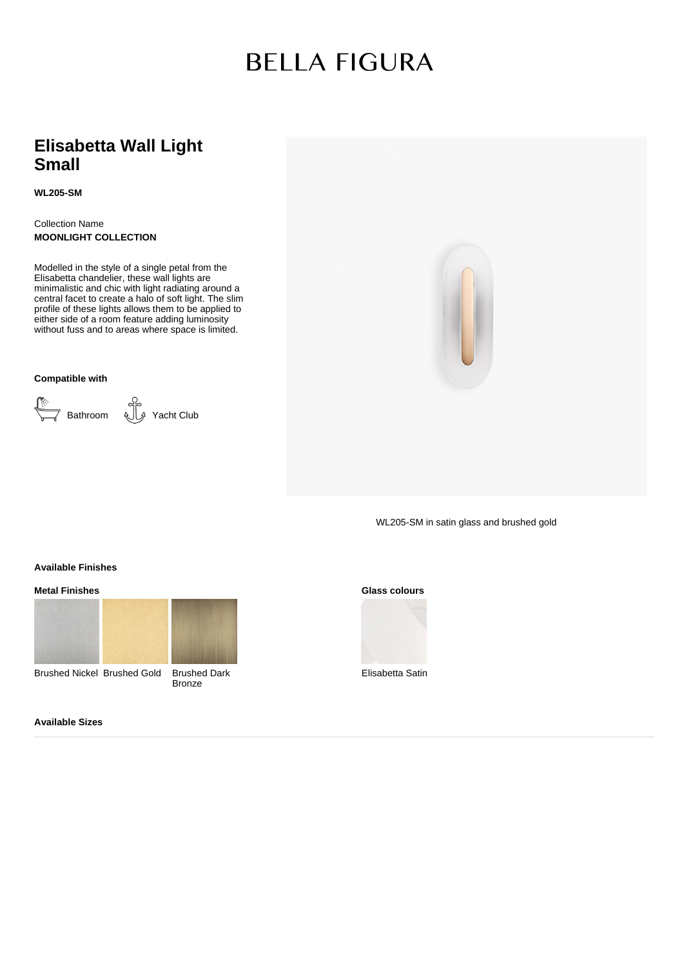# **BELLA FIGURA**

### **Elisabetta Wall Light Small**

**WL205-SM**

Collection Name **MOONLIGHT COLLECTION**

Modelled in the style of a single petal from the Elisabetta chandelier, these wall lights are minimalistic and chic with light radiating around a central facet to create a halo of soft light. The slim profile of these lights allows them to be applied to either side of a room feature adding luminosity without fuss and to areas where space is limited.

**Compatible with**

Bathroom Yacht Club

WL205-SM in satin glass and brushed gold

**Available Finishes**

**Metal Finishes**



Brushed Nickel Brushed Gold Brushed Dark



**Bronze** 



Elisabetta Satin

**Available Sizes**